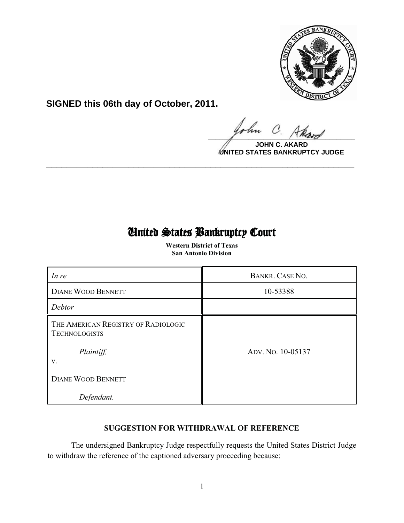

**SIGNED this 06th day of October, 2011.**

 $\Omega$  $\frac{1}{\sqrt{1-\frac{1}{2}}\sqrt{1-\frac{1}{2}}\sqrt{1-\frac{1}{2}}\sqrt{1-\frac{1}{2}}\sqrt{1-\frac{1}{2}}\sqrt{1-\frac{1}{2}}\sqrt{1-\frac{1}{2}}\sqrt{1-\frac{1}{2}}\sqrt{1-\frac{1}{2}}\sqrt{1-\frac{1}{2}}\sqrt{1-\frac{1}{2}}\sqrt{1-\frac{1}{2}}\sqrt{1-\frac{1}{2}}\sqrt{1-\frac{1}{2}}\sqrt{1-\frac{1}{2}}\sqrt{1-\frac{1}{2}}\sqrt{1-\frac{1}{2}}\sqrt{1-\frac{1}{2}}\sqrt{1-\frac{1}{2}}\sqrt{1-\frac$ 

**JOHN C UNITED STATES BANKRUPTCY JUDGE**

# United States Bankruptcy Court

**\_\_\_\_\_\_\_\_\_\_\_\_\_\_\_\_\_\_\_\_\_\_\_\_\_\_\_\_\_\_\_\_\_\_\_\_\_\_\_\_\_\_\_\_\_\_\_\_\_\_\_\_\_\_\_\_\_\_\_\_**

 **Western District of Texas San Antonio Division**

| In re                                                       | BANKR. CASE NO.   |
|-------------------------------------------------------------|-------------------|
| <b>DIANE WOOD BENNETT</b>                                   | 10-53388          |
| Debtor                                                      |                   |
| THE AMERICAN REGISTRY OF RADIOLOGIC<br><b>TECHNOLOGISTS</b> |                   |
| Plaintiff,<br>V.                                            | Apv. No. 10-05137 |
| <b>DIANE WOOD BENNETT</b>                                   |                   |
| Defendant.                                                  |                   |

# **SUGGESTION FOR WITHDRAWAL OF REFERENCE**

The undersigned Bankruptcy Judge respectfully requests the United States District Judge to withdraw the reference of the captioned adversary proceeding because: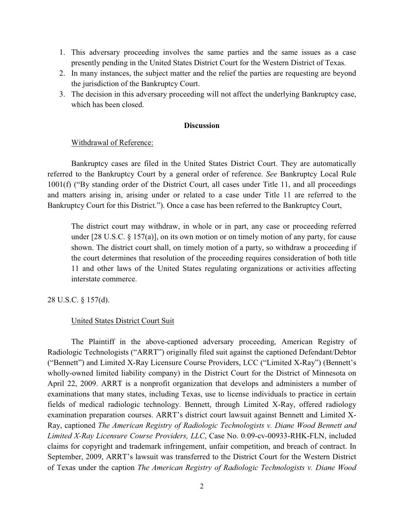- 1. This adversary proceeding involves the same parties and the same issues as a case presently pending in the United States District Court for the Western District of Texas.
- 2. In many instances, the subject matter and the relief the parties are requesting are beyond the jurisdiction of the Bankruptcy Court.
- 3. The decision in this adversary proceeding will not affect the underlying Bankruptcy case, which has been closed.

#### **Discussion**

#### Withdrawal of Reference:

Bankruptcy cases are filed in the United States District Court. They are automatically referred to the Bankruptcy Court by a general order of reference. *See* Bankruptcy Local Rule 1001(f) ("By standing order of the District Court, all cases under Title 11, and all proceedings and matters arising in, arising under or related to a case under Title 11 are referred to the Bankruptcy Court for this District."). Once a case has been referred to the Bankruptcy Court,

The district court may withdraw, in whole or in part, any case or proceeding referred under [28 U.S.C. § 157(a)], on its own motion or on timely motion of any party, for cause shown. The district court shall, on timely motion of a party, so withdraw a proceeding if the court determines that resolution of the proceeding requires consideration of both title 11 and other laws of the United States regulating organizations or activities affecting interstate commerce.

28 U.S.C. § 157(d).

#### United States District Court Suit

The Plaintiff in the above-captioned adversary proceeding, American Registry of Radiologic Technologists ("ARRT") originally filed suit against the captioned Defendant/Debtor ("Bennett") and Limited X-Ray Licensure Course Providers, LCC ("Limited X-Ray") (Bennett's wholly-owned limited liability company) in the District Court for the District of Minnesota on April 22, 2009. ARRT is a nonprofit organization that develops and administers a number of examinations that many states, including Texas, use to license individuals to practice in certain fields of medical radiologic technology. Bennett, through Limited X-Ray, offered radiology examination preparation courses. ARRT's district court lawsuit against Bennett and Limited X-Ray, captioned *The American Registry of Radiologic Technologists v. Diane Wood Bennett and Limited X-Ray Licensure Course Providers, LLC*, Case No. 0:09-cv-00933-RHK-FLN, included claims for copyright and trademark infringement, unfair competition, and breach of contract. In September, 2009, ARRT's lawsuit was transferred to the District Court for the Western District of Texas under the caption *The American Registry of Radiologic Technologists v. Diane Wood*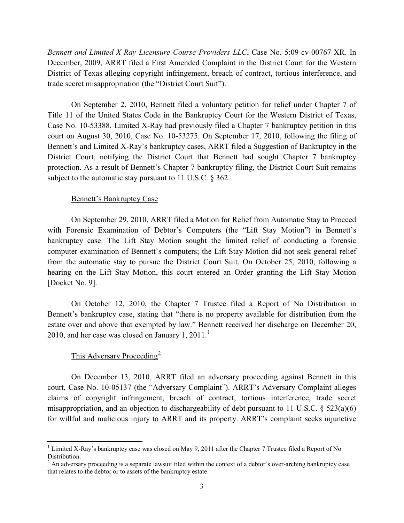*Bennett and Limited X-Ray Licensure Course Providers LLC*, Case No. 5:09-cv-00767-XR. In December, 2009, ARRT filed a First Amended Complaint in the District Court for the Western District of Texas alleging copyright infringement, breach of contract, tortious interference, and trade secret misappropriation (the "District Court Suit").

On September 2, 2010, Bennett filed a voluntary petition for relief under Chapter 7 of Title 11 of the United States Code in the Bankruptcy Court for the Western District of Texas, Case No. 10-53388. Limited X-Ray had previously filed a Chapter 7 bankruptcy petition in this court on August 30, 2010, Case No. 10-53275. On September 17, 2010, following the filing of Bennett's and Limited X-Ray's bankruptcy cases, ARRT filed a Suggestion of Bankruptcy in the District Court, notifying the District Court that Bennett had sought Chapter 7 bankruptcy protection. As a result of Bennett's Chapter 7 bankruptcy filing, the District Court Suit remains subject to the automatic stay pursuant to 11 U.S.C. § 362.

### Bennett's Bankruptcy Case

On September 29, 2010, ARRT filed a Motion for Relief from Automatic Stay to Proceed with Forensic Examination of Debtor's Computers (the "Lift Stay Motion") in Bennett's bankruptcy case. The Lift Stay Motion sought the limited relief of conducting a forensic computer examination of Bennett's computers; the Lift Stay Motion did not seek general relief from the automatic stay to pursue the District Court Suit. On October 25, 2010, following a hearing on the Lift Stay Motion, this court entered an Order granting the Lift Stay Motion [Docket No. 9].

On October 12, 2010, the Chapter 7 Trustee filed a Report of No Distribution in Bennett's bankruptcy case, stating that "there is no property available for distribution from the estate over and above that exempted by law." Bennett received her discharge on December 20, 2010, and her case was closed on January 1,  $2011$ .<sup>1</sup>

# This Adversary Proceeding<sup>2</sup>

 $\overline{a}$ 

On December 13, 2010, ARRT filed an adversary proceeding against Bennett in this court, Case No. 10-05137 (the "Adversary Complaint"). ARRT's Adversary Complaint alleges claims of copyright infringement, breach of contract, tortious interference, trade secret misappropriation, and an objection to dischargeability of debt pursuant to 11 U.S.C.  $\S$  523(a)(6) for willful and malicious injury to ARRT and its property. ARRT's complaint seeks injunctive

<sup>&</sup>lt;sup>1</sup> Limited X-Ray's bankruptcy case was closed on May 9, 2011 after the Chapter 7 Trustee filed a Report of No Distribution.

 $2$  An adversary proceeding is a separate lawsuit filed within the context of a debtor's over-arching bankruptcy case that relates to the debtor or to assets of the bankruptcy estate.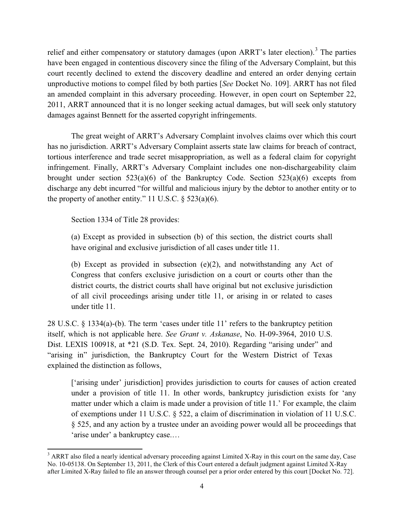relief and either compensatory or statutory damages (upon ARRT's later election).<sup>3</sup> The parties have been engaged in contentious discovery since the filing of the Adversary Complaint, but this court recently declined to extend the discovery deadline and entered an order denying certain unproductive motions to compel filed by both parties [*See* Docket No. 109]. ARRT has not filed an amended complaint in this adversary proceeding. However, in open court on September 22, 2011, ARRT announced that it is no longer seeking actual damages, but will seek only statutory damages against Bennett for the asserted copyright infringements.

The great weight of ARRT's Adversary Complaint involves claims over which this court has no jurisdiction. ARRT's Adversary Complaint asserts state law claims for breach of contract, tortious interference and trade secret misappropriation, as well as a federal claim for copyright infringement. Finally, ARRT's Adversary Complaint includes one non-dischargeability claim brought under section  $523(a)(6)$  of the Bankruptcy Code. Section  $523(a)(6)$  excepts from discharge any debt incurred "for willful and malicious injury by the debtor to another entity or to the property of another entity." 11 U.S.C.  $\S$  523(a)(6).

Section 1334 of Title 28 provides:

l

(a) Except as provided in subsection (b) of this section, the district courts shall have original and exclusive jurisdiction of all cases under title 11.

(b) Except as provided in subsection (e)(2), and notwithstanding any Act of Congress that confers exclusive jurisdiction on a court or courts other than the district courts, the district courts shall have original but not exclusive jurisdiction of all civil proceedings arising under title 11, or arising in or related to cases under title 11.

28 U.S.C. § 1334(a)-(b). The term 'cases under title 11' refers to the bankruptcy petition itself, which is not applicable here. *See Grant v. Askanase*, No. H-09-3964, 2010 U.S. Dist. LEXIS 100918, at \*21 (S.D. Tex. Sept. 24, 2010). Regarding "arising under" and "arising in" jurisdiction, the Bankruptcy Court for the Western District of Texas explained the distinction as follows,

['arising under' jurisdiction] provides jurisdiction to courts for causes of action created under a provision of title 11. In other words, bankruptcy jurisdiction exists for 'any matter under which a claim is made under a provision of title 11.' For example, the claim of exemptions under 11 U.S.C. § 522, a claim of discrimination in violation of 11 U.S.C. § 525, and any action by a trustee under an avoiding power would all be proceedings that 'arise under' a bankruptcy case.…

<sup>&</sup>lt;sup>3</sup> ARRT also filed a nearly identical adversary proceeding against Limited X-Ray in this court on the same day, Case No. 10-05138. On September 13, 2011, the Clerk of this Court entered a default judgment against Limited X-Ray after Limited X-Ray failed to file an answer through counsel per a prior order entered by this court [Docket No. 72].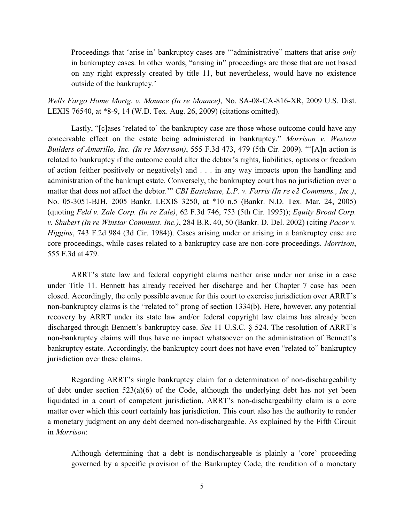Proceedings that 'arise in' bankruptcy cases are '"administrative" matters that arise *only* in bankruptcy cases. In other words, "arising in" proceedings are those that are not based on any right expressly created by title 11, but nevertheless, would have no existence outside of the bankruptcy.'

*Wells Fargo Home Mortg. v. Mounce (In re Mounce)*, No. SA-08-CA-816-XR, 2009 U.S. Dist. LEXIS 76540, at \*8-9, 14 (W.D. Tex. Aug. 26, 2009) (citations omitted).

Lastly, "[c]ases 'related to' the bankruptcy case are those whose outcome could have any conceivable effect on the estate being administered in bankruptcy." *Morrison v. Western Builders of Amarillo, Inc. (In re Morrison)*, 555 F.3d 473, 479 (5th Cir. 2009). "'[A]n action is related to bankruptcy if the outcome could alter the debtor's rights, liabilities, options or freedom of action (either positively or negatively) and . . . in any way impacts upon the handling and administration of the bankrupt estate. Conversely, the bankruptcy court has no jurisdiction over a matter that does not affect the debtor.'" *CBI Eastchase, L.P. v. Farris (In re e2 Communs., Inc.)*, No. 05-3051-BJH, 2005 Bankr. LEXIS 3250, at \*10 n.5 (Bankr. N.D. Tex. Mar. 24, 2005) (quoting *Feld v. Zale Corp. (In re Zale)*, 62 F.3d 746, 753 (5th Cir. 1995)); *Equity Broad Corp. v. Shubert (In re Winstar Communs. Inc.)*, 284 B.R. 40, 50 (Bankr. D. Del. 2002) (citing *Pacor v. Higgins*, 743 F.2d 984 (3d Cir. 1984)). Cases arising under or arising in a bankruptcy case are core proceedings, while cases related to a bankruptcy case are non-core proceedings. *Morrison*, 555 F.3d at 479.

ARRT's state law and federal copyright claims neither arise under nor arise in a case under Title 11. Bennett has already received her discharge and her Chapter 7 case has been closed. Accordingly, the only possible avenue for this court to exercise jurisdiction over ARRT's non-bankruptcy claims is the "related to" prong of section 1334(b). Here, however, any potential recovery by ARRT under its state law and/or federal copyright law claims has already been discharged through Bennett's bankruptcy case. *See* 11 U.S.C. § 524. The resolution of ARRT's non-bankruptcy claims will thus have no impact whatsoever on the administration of Bennett's bankruptcy estate. Accordingly, the bankruptcy court does not have even "related to" bankruptcy jurisdiction over these claims.

Regarding ARRT's single bankruptcy claim for a determination of non-dischargeability of debt under section 523(a)(6) of the Code, although the underlying debt has not yet been liquidated in a court of competent jurisdiction, ARRT's non-dischargeability claim is a core matter over which this court certainly has jurisdiction. This court also has the authority to render a monetary judgment on any debt deemed non-dischargeable. As explained by the Fifth Circuit in *Morrison*:

Although determining that a debt is nondischargeable is plainly a 'core' proceeding governed by a specific provision of the Bankruptcy Code, the rendition of a monetary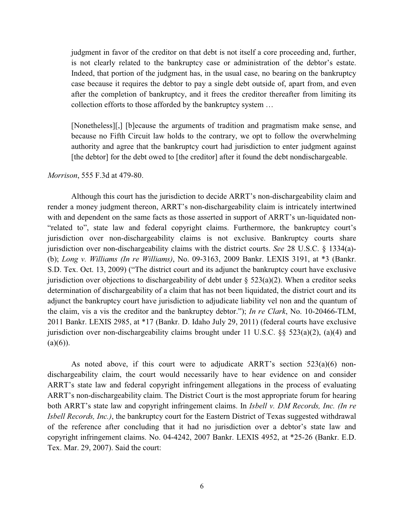judgment in favor of the creditor on that debt is not itself a core proceeding and, further, is not clearly related to the bankruptcy case or administration of the debtor's estate. Indeed, that portion of the judgment has, in the usual case, no bearing on the bankruptcy case because it requires the debtor to pay a single debt outside of, apart from, and even after the completion of bankruptcy, and it frees the creditor thereafter from limiting its collection efforts to those afforded by the bankruptcy system …

[Nonetheless][,] [b]ecause the arguments of tradition and pragmatism make sense, and because no Fifth Circuit law holds to the contrary, we opt to follow the overwhelming authority and agree that the bankruptcy court had jurisdiction to enter judgment against [the debtor] for the debt owed to [the creditor] after it found the debt nondischargeable.

#### *Morrison*, 555 F.3d at 479-80.

Although this court has the jurisdiction to decide ARRT's non-dischargeability claim and render a money judgment thereon, ARRT's non-dischargeability claim is intricately intertwined with and dependent on the same facts as those asserted in support of ARRT's un-liquidated non- "related to", state law and federal copyright claims. Furthermore, the bankruptcy court's jurisdiction over non-dischargeability claims is not exclusive. Bankruptcy courts share jurisdiction over non-dischargeability claims with the district courts. *See* 28 U.S.C. § 1334(a)- (b); *Long v. Williams (In re Williams)*, No. 09-3163, 2009 Bankr. LEXIS 3191, at \*3 (Bankr. S.D. Tex. Oct. 13, 2009) ("The district court and its adjunct the bankruptcy court have exclusive jurisdiction over objections to dischargeability of debt under  $\S$  523(a)(2). When a creditor seeks determination of dischargeability of a claim that has not been liquidated, the district court and its adjunct the bankruptcy court have jurisdiction to adjudicate liability vel non and the quantum of the claim, vis a vis the creditor and the bankruptcy debtor."); *In re Clark*, No. 10-20466-TLM, 2011 Bankr. LEXIS 2985, at \*17 (Bankr. D. Idaho July 29, 2011) (federal courts have exclusive jurisdiction over non-dischargeability claims brought under 11 U.S.C. §§ 523(a)(2), (a)(4) and  $(a)(6)$ ).

As noted above, if this court were to adjudicate ARRT's section 523(a)(6) nondischargeability claim, the court would necessarily have to hear evidence on and consider ARRT's state law and federal copyright infringement allegations in the process of evaluating ARRT's non-dischargeability claim. The District Court is the most appropriate forum for hearing both ARRT's state law and copyright infringement claims. In *Isbell v. DM Records, Inc. (In re Isbell Records, Inc.*), the bankruptcy court for the Eastern District of Texas suggested withdrawal of the reference after concluding that it had no jurisdiction over a debtor's state law and copyright infringement claims. No. 04-4242, 2007 Bankr. LEXIS 4952, at \*25-26 (Bankr. E.D. Tex. Mar. 29, 2007). Said the court: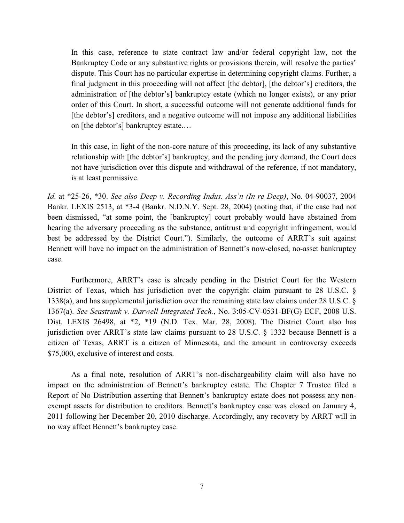In this case, reference to state contract law and/or federal copyright law, not the Bankruptcy Code or any substantive rights or provisions therein, will resolve the parties' dispute. This Court has no particular expertise in determining copyright claims. Further, a final judgment in this proceeding will not affect [the debtor], [the debtor's] creditors, the administration of [the debtor's] bankruptcy estate (which no longer exists), or any prior order of this Court. In short, a successful outcome will not generate additional funds for [the debtor's] creditors, and a negative outcome will not impose any additional liabilities on [the debtor's] bankruptcy estate.…

In this case, in light of the non-core nature of this proceeding, its lack of any substantive relationship with [the debtor's] bankruptcy, and the pending jury demand, the Court does not have jurisdiction over this dispute and withdrawal of the reference, if not mandatory, is at least permissive.

*Id*. at \*25-26, \*30. *See also Deep v. Recording Indus. Ass'n (In re Deep)*, No. 04-90037, 2004 Bankr. LEXIS 2513, at \*3-4 (Bankr. N.D.N.Y. Sept. 28, 2004) (noting that, if the case had not been dismissed, "at some point, the [bankruptcy] court probably would have abstained from hearing the adversary proceeding as the substance, antitrust and copyright infringement, would best be addressed by the District Court."). Similarly, the outcome of ARRT's suit against Bennett will have no impact on the administration of Bennett's now-closed, no-asset bankruptcy case.

Furthermore, ARRT's case is already pending in the District Court for the Western District of Texas, which has jurisdiction over the copyright claim pursuant to 28 U.S.C. § 1338(a), and has supplemental jurisdiction over the remaining state law claims under 28 U.S.C. § 1367(a). *See Seastrunk v. Darwell Integrated Tech.*, No. 3:05-CV-0531-BF(G) ECF, 2008 U.S. Dist. LEXIS 26498, at \*2, \*19 (N.D. Tex. Mar. 28, 2008). The District Court also has jurisdiction over ARRT's state law claims pursuant to 28 U.S.C. § 1332 because Bennett is a citizen of Texas, ARRT is a citizen of Minnesota, and the amount in controversy exceeds \$75,000, exclusive of interest and costs.

As a final note, resolution of ARRT's non-dischargeability claim will also have no impact on the administration of Bennett's bankruptcy estate. The Chapter 7 Trustee filed a Report of No Distribution asserting that Bennett's bankruptcy estate does not possess any nonexempt assets for distribution to creditors. Bennett's bankruptcy case was closed on January 4, 2011 following her December 20, 2010 discharge. Accordingly, any recovery by ARRT will in no way affect Bennett's bankruptcy case.